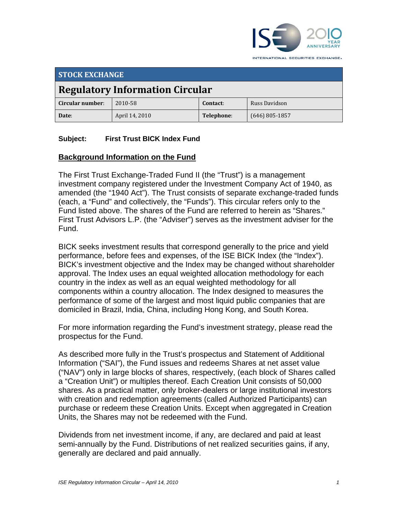

INTERNATIONAL SECURITIES EXCHANGE.

| <b>STOCK EXCHANGE</b>                  |                |            |                  |
|----------------------------------------|----------------|------------|------------------|
| <b>Regulatory Information Circular</b> |                |            |                  |
| Circular number:                       | 2010-58        | Contact:   | Russ Davidson    |
| Date:                                  | April 14, 2010 | Telephone: | $(646)$ 805-1857 |

# **Subject: First Trust BICK Index Fund**

# **Background Information on the Fund**

The First Trust Exchange-Traded Fund II (the "Trust") is a management investment company registered under the Investment Company Act of 1940, as amended (the "1940 Act"). The Trust consists of separate exchange-traded funds (each, a "Fund" and collectively, the "Funds"). This circular refers only to the Fund listed above. The shares of the Fund are referred to herein as "Shares." First Trust Advisors L.P. (the "Adviser") serves as the investment adviser for the Fund.

BICK seeks investment results that correspond generally to the price and yield performance, before fees and expenses, of the ISE BICK Index (the "Index"). BICK's investment objective and the Index may be changed without shareholder approval. The Index uses an equal weighted allocation methodology for each country in the index as well as an equal weighted methodology for all components within a country allocation. The Index designed to measures the performance of some of the largest and most liquid public companies that are domiciled in Brazil, India, China, including Hong Kong, and South Korea.

For more information regarding the Fund's investment strategy, please read the prospectus for the Fund.

As described more fully in the Trust's prospectus and Statement of Additional Information ("SAI"), the Fund issues and redeems Shares at net asset value ("NAV") only in large blocks of shares, respectively, (each block of Shares called a "Creation Unit") or multiples thereof. Each Creation Unit consists of 50,000 shares. As a practical matter, only broker-dealers or large institutional investors with creation and redemption agreements (called Authorized Participants) can purchase or redeem these Creation Units. Except when aggregated in Creation Units, the Shares may not be redeemed with the Fund.

Dividends from net investment income, if any, are declared and paid at least semi-annually by the Fund. Distributions of net realized securities gains, if any, generally are declared and paid annually.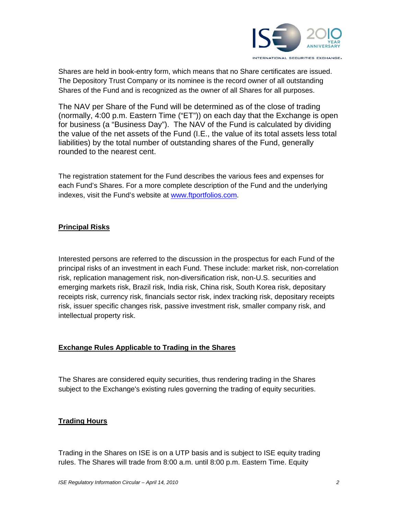

Shares are held in book-entry form, which means that no Share certificates are issued. The Depository Trust Company or its nominee is the record owner of all outstanding Shares of the Fund and is recognized as the owner of all Shares for all purposes.

The NAV per Share of the Fund will be determined as of the close of trading (normally, 4:00 p.m. Eastern Time ("ET")) on each day that the Exchange is open for business (a "Business Day"). The NAV of the Fund is calculated by dividing the value of the net assets of the Fund (I.E., the value of its total assets less total liabilities) by the total number of outstanding shares of the Fund, generally rounded to the nearest cent.

The registration statement for the Fund describes the various fees and expenses for each Fund's Shares. For a more complete description of the Fund and the underlying indexes, visit the Fund's website at www.ftportfolios.com.

### **Principal Risks**

Interested persons are referred to the discussion in the prospectus for each Fund of the principal risks of an investment in each Fund. These include: market risk, non-correlation risk, replication management risk, non-diversification risk, non-U.S. securities and emerging markets risk, Brazil risk, India risk, China risk, South Korea risk, depositary receipts risk, currency risk, financials sector risk, index tracking risk, depositary receipts risk, issuer specific changes risk, passive investment risk, smaller company risk, and intellectual property risk.

#### **Exchange Rules Applicable to Trading in the Shares**

The Shares are considered equity securities, thus rendering trading in the Shares subject to the Exchange's existing rules governing the trading of equity securities.

#### **Trading Hours**

Trading in the Shares on ISE is on a UTP basis and is subject to ISE equity trading rules. The Shares will trade from 8:00 a.m. until 8:00 p.m. Eastern Time. Equity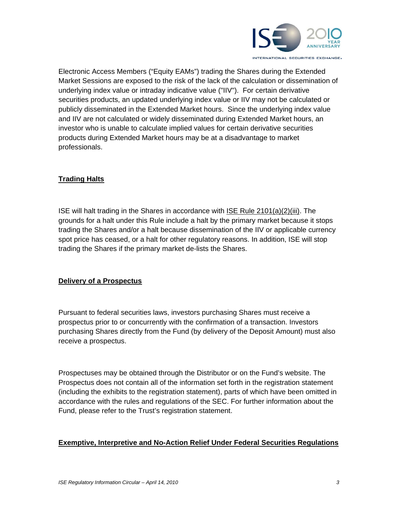

Electronic Access Members ("Equity EAMs") trading the Shares during the Extended Market Sessions are exposed to the risk of the lack of the calculation or dissemination of underlying index value or intraday indicative value ("IIV"). For certain derivative securities products, an updated underlying index value or IIV may not be calculated or publicly disseminated in the Extended Market hours. Since the underlying index value and IIV are not calculated or widely disseminated during Extended Market hours, an investor who is unable to calculate implied values for certain derivative securities products during Extended Market hours may be at a disadvantage to market professionals.

### **Trading Halts**

ISE will halt trading in the Shares in accordance with ISE Rule 2101(a)(2)(iii). The grounds for a halt under this Rule include a halt by the primary market because it stops trading the Shares and/or a halt because dissemination of the IIV or applicable currency spot price has ceased, or a halt for other regulatory reasons. In addition, ISE will stop trading the Shares if the primary market de-lists the Shares.

#### **Delivery of a Prospectus**

Pursuant to federal securities laws, investors purchasing Shares must receive a prospectus prior to or concurrently with the confirmation of a transaction. Investors purchasing Shares directly from the Fund (by delivery of the Deposit Amount) must also receive a prospectus.

Prospectuses may be obtained through the Distributor or on the Fund's website. The Prospectus does not contain all of the information set forth in the registration statement (including the exhibits to the registration statement), parts of which have been omitted in accordance with the rules and regulations of the SEC. For further information about the Fund, please refer to the Trust's registration statement.

#### **Exemptive, Interpretive and No-Action Relief Under Federal Securities Regulations**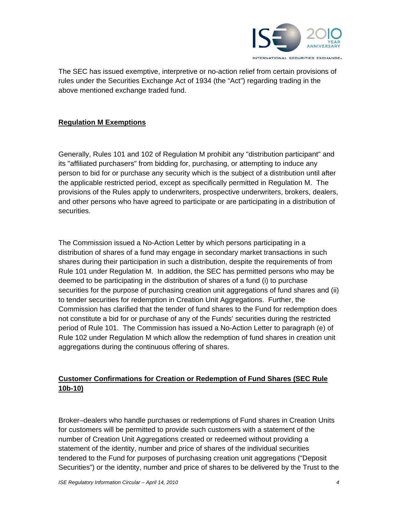

The SEC has issued exemptive, interpretive or no-action relief from certain provisions of rules under the Securities Exchange Act of 1934 (the "Act") regarding trading in the above mentioned exchange traded fund.

### **Regulation M Exemptions**

Generally, Rules 101 and 102 of Regulation M prohibit any "distribution participant" and its "affiliated purchasers" from bidding for, purchasing, or attempting to induce any person to bid for or purchase any security which is the subject of a distribution until after the applicable restricted period, except as specifically permitted in Regulation M. The provisions of the Rules apply to underwriters, prospective underwriters, brokers, dealers, and other persons who have agreed to participate or are participating in a distribution of securities.

The Commission issued a No-Action Letter by which persons participating in a distribution of shares of a fund may engage in secondary market transactions in such shares during their participation in such a distribution, despite the requirements of from Rule 101 under Regulation M. In addition, the SEC has permitted persons who may be deemed to be participating in the distribution of shares of a fund (i) to purchase securities for the purpose of purchasing creation unit aggregations of fund shares and (ii) to tender securities for redemption in Creation Unit Aggregations. Further, the Commission has clarified that the tender of fund shares to the Fund for redemption does not constitute a bid for or purchase of any of the Funds' securities during the restricted period of Rule 101. The Commission has issued a No-Action Letter to paragraph (e) of Rule 102 under Regulation M which allow the redemption of fund shares in creation unit aggregations during the continuous offering of shares.

# **Customer Confirmations for Creation or Redemption of Fund Shares (SEC Rule 10b-10)**

Broker–dealers who handle purchases or redemptions of Fund shares in Creation Units for customers will be permitted to provide such customers with a statement of the number of Creation Unit Aggregations created or redeemed without providing a statement of the identity, number and price of shares of the individual securities tendered to the Fund for purposes of purchasing creation unit aggregations ("Deposit Securities") or the identity, number and price of shares to be delivered by the Trust to the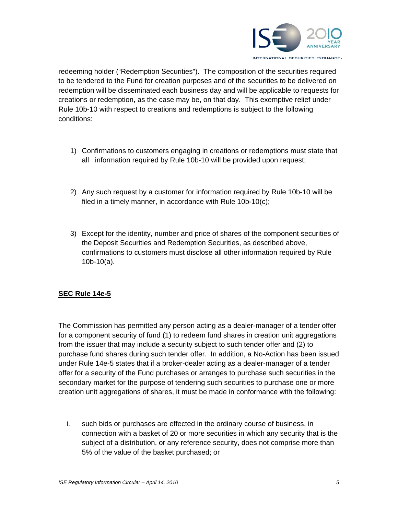

redeeming holder ("Redemption Securities"). The composition of the securities required to be tendered to the Fund for creation purposes and of the securities to be delivered on redemption will be disseminated each business day and will be applicable to requests for creations or redemption, as the case may be, on that day. This exemptive relief under Rule 10b-10 with respect to creations and redemptions is subject to the following conditions:

- 1) Confirmations to customers engaging in creations or redemptions must state that all information required by Rule 10b-10 will be provided upon request;
- 2) Any such request by a customer for information required by Rule 10b-10 will be filed in a timely manner, in accordance with Rule 10b-10(c);
- 3) Except for the identity, number and price of shares of the component securities of the Deposit Securities and Redemption Securities, as described above, confirmations to customers must disclose all other information required by Rule 10b-10(a).

## **SEC Rule 14e-5**

The Commission has permitted any person acting as a dealer-manager of a tender offer for a component security of fund (1) to redeem fund shares in creation unit aggregations from the issuer that may include a security subject to such tender offer and (2) to purchase fund shares during such tender offer. In addition, a No-Action has been issued under Rule 14e-5 states that if a broker-dealer acting as a dealer-manager of a tender offer for a security of the Fund purchases or arranges to purchase such securities in the secondary market for the purpose of tendering such securities to purchase one or more creation unit aggregations of shares, it must be made in conformance with the following:

i. such bids or purchases are effected in the ordinary course of business, in connection with a basket of 20 or more securities in which any security that is the subject of a distribution, or any reference security, does not comprise more than 5% of the value of the basket purchased; or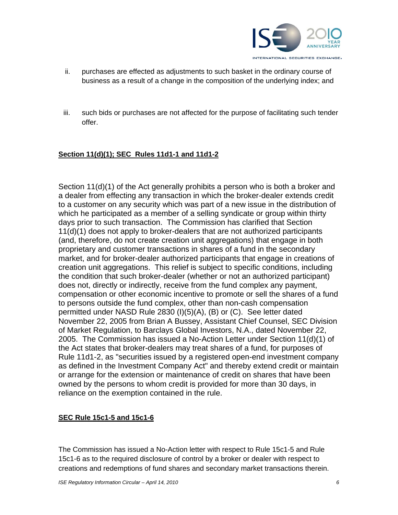

- ii. purchases are effected as adjustments to such basket in the ordinary course of business as a result of a change in the composition of the underlying index; and
- iii. such bids or purchases are not affected for the purpose of facilitating such tender offer.

## **Section 11(d)(1); SEC Rules 11d1-1 and 11d1-2**

Section 11(d)(1) of the Act generally prohibits a person who is both a broker and a dealer from effecting any transaction in which the broker-dealer extends credit to a customer on any security which was part of a new issue in the distribution of which he participated as a member of a selling syndicate or group within thirty days prior to such transaction. The Commission has clarified that Section 11(d)(1) does not apply to broker-dealers that are not authorized participants (and, therefore, do not create creation unit aggregations) that engage in both proprietary and customer transactions in shares of a fund in the secondary market, and for broker-dealer authorized participants that engage in creations of creation unit aggregations. This relief is subject to specific conditions, including the condition that such broker-dealer (whether or not an authorized participant) does not, directly or indirectly, receive from the fund complex any payment, compensation or other economic incentive to promote or sell the shares of a fund to persons outside the fund complex, other than non-cash compensation permitted under NASD Rule 2830 (I)(5)(A), (B) or (C). See letter dated November 22, 2005 from Brian A Bussey, Assistant Chief Counsel, SEC Division of Market Regulation, to Barclays Global Investors, N.A., dated November 22, 2005. The Commission has issued a No-Action Letter under Section 11(d)(1) of the Act states that broker-dealers may treat shares of a fund, for purposes of Rule 11d1-2, as "securities issued by a registered open-end investment company as defined in the Investment Company Act" and thereby extend credit or maintain or arrange for the extension or maintenance of credit on shares that have been owned by the persons to whom credit is provided for more than 30 days, in reliance on the exemption contained in the rule.

## **SEC Rule 15c1-5 and 15c1-6**

The Commission has issued a No-Action letter with respect to Rule 15c1-5 and Rule 15c1-6 as to the required disclosure of control by a broker or dealer with respect to creations and redemptions of fund shares and secondary market transactions therein.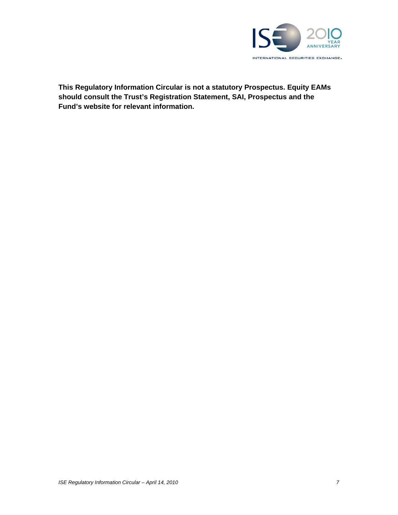

**This Regulatory Information Circular is not a statutory Prospectus. Equity EAMs should consult the Trust's Registration Statement, SAI, Prospectus and the Fund's website for relevant information.**